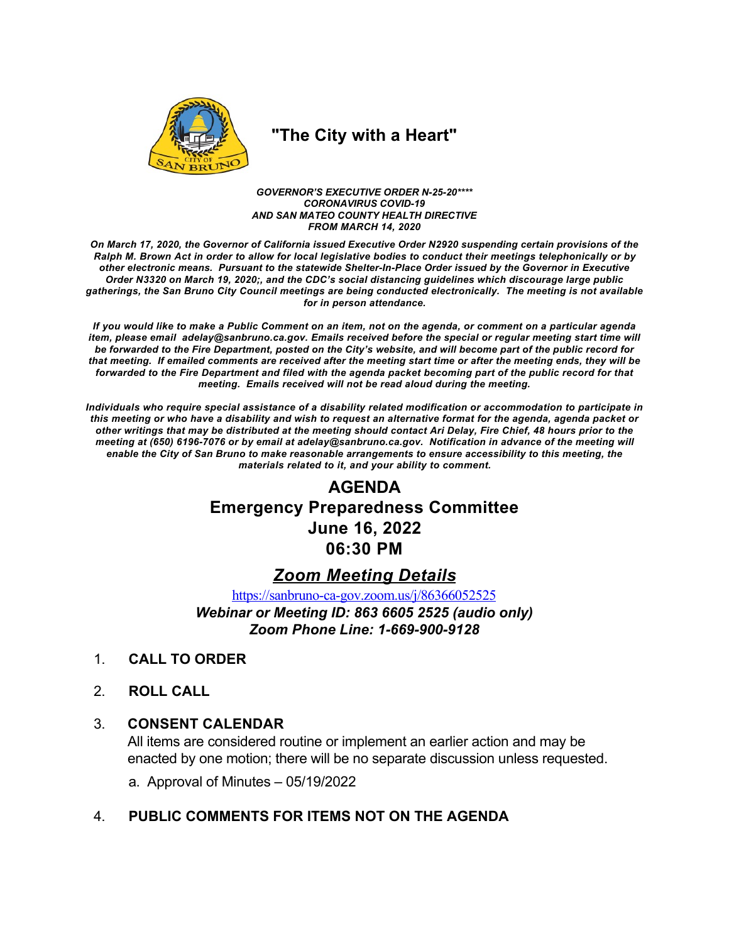

# "The City with a Heart"

GOVERNOR'S EXECUTIVE ORDER N-25-20\*\*\*\* **CORONAVIRUS COVID-19** AND SAN MATEO COUNTY HEALTH DIRECTIVE **FROM MARCH 14, 2020** 

On March 17, 2020, the Governor of California issued Executive Order N2920 suspending certain provisions of the Ralph M. Brown Act in order to allow for local legislative bodies to conduct their meetings telephonically or by other electronic means. Pursuant to the statewide Shelter-In-Place Order issued by the Governor in Executive Order N3320 on March 19, 2020;, and the CDC's social distancing guidelines which discourage large public gatherings, the San Bruno City Council meetings are being conducted electronically. The meeting is not available for in person attendance.

If you would like to make a Public Comment on an item, not on the agenda, or comment on a particular agenda item, please email adelay@sanbruno.ca.gov. Emails received before the special or regular meeting start time will be forwarded to the Fire Department, posted on the City's website, and will become part of the public record for that meeting. If emailed comments are received after the meeting start time or after the meeting ends, they will be forwarded to the Fire Department and filed with the agenda packet becoming part of the public record for that meeting. Emails received will not be read aloud during the meeting.

Individuals who require special assistance of a disability related modification or accommodation to participate in this meeting or who have a disability and wish to request an alternative format for the agenda, agenda packet or other writings that may be distributed at the meeting should contact Ari Delay, Fire Chief, 48 hours prior to the meeting at (650) 6196-7076 or by email at adelay@sanbruno.ca.gov. Notification in advance of the meeting will enable the City of San Bruno to make reasonable arrangements to ensure accessibility to this meeting, the materials related to it, and your ability to comment.

# **AGENDA Emergency Preparedness Committee June 16, 2022** 06:30 PM

## **Zoom Meeting Details**

https://sanbruno-ca-gov.zoom.us/j/86366052525

Webinar or Meeting ID: 863 6605 2525 (audio only) Zoom Phone Line: 1-669-900-9128

- **CALL TO ORDER**  $1_{-}$
- $2<sup>1</sup>$ **ROLL CALL**

#### $3_{-}$ **CONSENT CALENDAR**

All items are considered routine or implement an earlier action and may be enacted by one motion; there will be no separate discussion unless requested.

a. Approval of Minutes  $-05/19/2022$ 

#### PUBLIC COMMENTS FOR ITEMS NOT ON THE AGENDA  $\overline{4}$